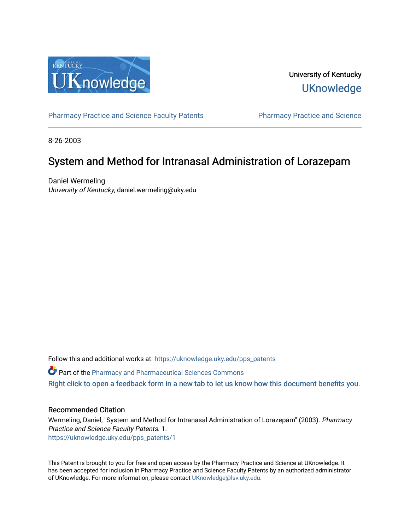

University of Kentucky **UKnowledge** 

[Pharmacy Practice and Science Faculty Patents](https://uknowledge.uky.edu/pps_patents) Pharmacy Practice and Science

8-26-2003

# System and Method for Intranasal Administration of Lorazepam

Daniel Wermeling University of Kentucky, daniel.wermeling@uky.edu

Follow this and additional works at: [https://uknowledge.uky.edu/pps\\_patents](https://uknowledge.uky.edu/pps_patents?utm_source=uknowledge.uky.edu%2Fpps_patents%2F1&utm_medium=PDF&utm_campaign=PDFCoverPages) 

Part of the [Pharmacy and Pharmaceutical Sciences Commons](http://network.bepress.com/hgg/discipline/731?utm_source=uknowledge.uky.edu%2Fpps_patents%2F1&utm_medium=PDF&utm_campaign=PDFCoverPages)

[Right click to open a feedback form in a new tab to let us know how this document benefits you.](https://uky.az1.qualtrics.com/jfe/form/SV_9mq8fx2GnONRfz7)

# Recommended Citation

Wermeling, Daniel, "System and Method for Intranasal Administration of Lorazepam" (2003). Pharmacy Practice and Science Faculty Patents. 1. [https://uknowledge.uky.edu/pps\\_patents/1](https://uknowledge.uky.edu/pps_patents/1?utm_source=uknowledge.uky.edu%2Fpps_patents%2F1&utm_medium=PDF&utm_campaign=PDFCoverPages) 

This Patent is brought to you for free and open access by the Pharmacy Practice and Science at UKnowledge. It has been accepted for inclusion in Pharmacy Practice and Science Faculty Patents by an authorized administrator of UKnowledge. For more information, please contact [UKnowledge@lsv.uky.edu.](mailto:UKnowledge@lsv.uky.edu)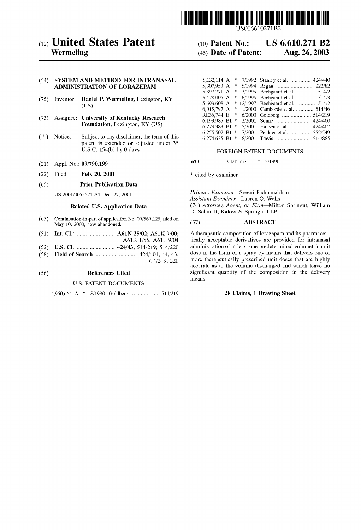

US006610271B2

# (12) United States Patent

#### (54) SYSTEM AND METHOD FOR INTRANASAL ADMINISTRATION OF LORAZEPAM

- (75) Inventor: Daniel P. Wermeling, Lexington, KY
- (73) Assignee: University of Kentucky Research Foundation, Lexington, KY (US)
- (\*) Notice: Subject to any disclaimer, the term of this patent is extended or adjusted under 35 U.S.C.  $154(b)$  by 0 days.
- (21) Appl. No.: 09/790,199
- (22) Filed: Feb. 20, 2001

#### (65) Prior Publication Data

US 2001/0055571 A1 Dec. 27, 2001

#### Related US. Application Data

- $(63)$  Continuation-in-part of application No. 09/569,125, filed on May 10, 2000, now abandoned.
- (51) Int. Cl.7 ........................ .. A61N 25/02; A61K 9/00;
- A61K 1/55; A61L 9/04 (52) US. Cl. ........................ .. 424/43; 514/219; 514/220
- (58) Field of Search .......................... .. 424/401, 44, 43;
- 514/219, 220

# (56) References Cited

#### U.S. PATENT DOCUMENTS

4,950,664 A \* 8/1990 Goldberg .................. .. 514/219

# (10) Patent No.: US  $6,610,271$  B2<br>(45) Date of Patent: Aug. 26, 2003 Wermeling (45) Date of Patent:

| AND METHOD FOR INTRANASAL                         |  | 5,132,114 A $*$ 7/1992 Stanley et al.  424/440  |
|---------------------------------------------------|--|-------------------------------------------------|
| <b>TRATION OF LORAZEPAM</b>                       |  |                                                 |
|                                                   |  | 5,397,771 A * 3/1995 Bechgaard et al.  514/2    |
| <b>Daniel P. Wermeling, Lexington, KY</b><br>(US) |  | 5,428,006 A $*$ 6/1995 Bechgaard et al.  514/3  |
|                                                   |  | 5,693,608 A $*$ 12/1997 Bechgaard et al.  514/2 |
|                                                   |  | 6,015,797 A $*$ 1/2000 Camborde et al.  514/46  |
|                                                   |  |                                                 |
| University of Kentucky Research                   |  |                                                 |
| <b>Foundation, Lexington, KY (US)</b>             |  | 6,228,383 B1 * 5/2001 Hansen et al.  424/407    |
|                                                   |  | 6,255,502 B1 * 7/2001 Penkler et al.  552/549   |
| Subject to any disclaimer, the term of this       |  |                                                 |

#### FOREIGN PATENT DOCUMENTS

WO 90/02737 \* 3/1990

\* cited by examiner

Primary Examiner—Sreeni Padmanabhan Assistant Examiner—Lauren Q. Wells (74) Attorney, Agent, or Firm—Milton Springut; William D. Schmidt; KaloW & Springut LLP

# (57) ABSTRACT

A therapeutic composition of loraZepam and its pharmaceu tically acceptable derivatives are provided for intranasal administration of at least one predetermined volumetric unit dose in the form of a spray by means that delivers one or more therapeutically prescribed unit doses that are highly accurate as to the volume discharged and Which leave no significant quantity of the composition in the delivery means.

#### 28 Claims, 1 Drawing Sheet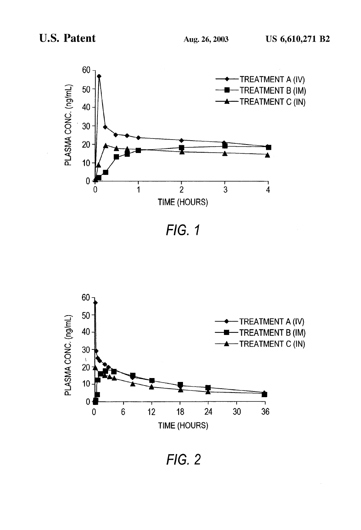

FIG. 1



FIG. 2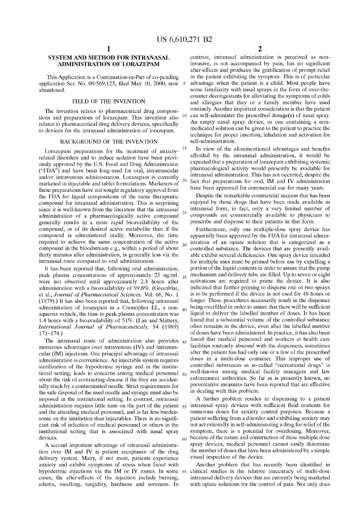25

 $20\,$ 

 $25$ 

60

 $30<sup>2</sup>$ 

# SYSTEM AND METHOD FOR INTRANASAL ADMINISTRATION OF LORAZEPAM

This Application is a Continuation-in-Part of co-pending application Ser. No. 09/569,125, filed May 10, 2000, now abandoned.

### FIELD OF THE INVENTION

The invention relates to pharmaceutical drug composi tions and preparations of lorazepam. This invention also relates to pharmaceutical drug delivery devices, specifically to devices for the intranasal administration of lorazepam. 10

#### BACKGROUND OF THE INVENTION

LoraZepam preparations for the treatment of anxiety related disorders and to induce sedation have been previ ously approved by the US. Food and Drug Administration ("FDA") and have been long-used for oral, intramuscular and/or intravenous administration. Lorazepam is currently marketed in injectable and tablet formulations. Marketers of these preparations have not sought regulatory approval from the FDA for liquid compositions of the same therapeutic compound for intranasal administration. This is surprising since it is Well-knoWn from the literature that the intranasal administration of a pharmacologically active compound generally results in a more rapid bioavailability of the compound, or of its desired active metabolite than if the compound is administered orally. Moreover, the time required to achieve the same concentration of the active compound in the bloodstream e.g., Within a period of about thirty minutes after administration, is generally less via the intranasal route compared to oral administration.

It has been reported that, folloWing oral administration, peak plasma concentrations of approximately 25 ng/mL Were not observed until approximately 2.4 hours after administration With a bioavailability of 99.8%. (Greenblat, et al., Journal of Pharmaceutical Sciences, Vol. 66, No. 1 (1979).) It has also been reported that, folloWing intranasal administration of lorazepam in a Cremophor EL, a non- $40$ aqueous vehicle, the time to peak plasma concentration Was 1.4 hours With a bioavailability of 51%. (Lau and Slattery, International Journal of Pharmaceuticals, 54 (1989) 171—174.)

The intranasal route of administration also provides 45 numerous advantages over intravenous (IV) and intramus cular (IM) injections. One principal advantage of intranasal administration is convenience. An injectable system requires sterilization of the hypodermic syringe and in the institutional setting, leads to concerns among medical personnel  $50$ about the risk of contracting disease if the they are acciden tally stuck by a contaminated needle. Strict requirements for the safe disposal of the used needle and syringe must also be imposed in the institutional setting. In contrast, intranasal and the attending medical personnel, and is far less burdensome on the institution than injectables. There is no significant risk of infection of medical personnel or others in the institutional setting that is associated With nasal spray devices.

A second important advantage of intranasal administra tion over IM and IV is patient acceptance of the drug delivery system. Many, if not most, patients experience anxiety and exhibit symptoms of stress When faced With hypodermic injections via the IM or IV routes. In some 65 cases, the after-effects of the injection include burning, edema, sWelling, turgidity, hardness and soreness. In

 $\mathfrak{D}$ 

contrast, intranasal administration is perceived as non invasive, is not accompanied by pain, has no significant after-effects and produces the gratification of prompt relief in the patient exhibiting the symptom. This is of particular advantage When the patient is a child. Most people have some familiarity With nasal sprays in the form of over-the counter decongestants for alleviating the symptoms of colds and allergies that they or a family member have used routinely. Another important consideration is that the patient can self-administer the prescribed dosage(s) of nasal spray. An empty nasal spray device, or one containing a non medicated solution can be given to the patient to practice the technique for proper insertion, inhalation and activation for self-administration.

In view of the aforementioned advantages and benefits afforded by the intranasal administration, it Would be expected that a preparation of lorazepam exhibiting systemic pharmacological activity Would presently be available for intranasal administration. This has not occurred, despite the fact that preparations for oral, IM and IV administration have been approved for commercial use for many years.

Despite the remarkable commercial success that has been enjoyed by those drugs that have been made available in intranasal form, in fact, only a very limited number of compounds are commercially available to physicians to prescribe and dispense to their patients in that form.

Furthermore, only one multiple-dose spray device has apparently been approved by the FDA for intranasal admin istration of an opiate solution that is categorized as a controlled substance. The devices that are presently avail able exhibit several deficiencies. One spray device intended for multiple uses must be primed before use by expelling a portion of the liquid contents in order to assure that the pump mechanism and delivery tube are filled. Up to seven or eight activations are required to prime the device. It is also indicated that further priming to disperse one or two sprays is to be performed if the device is not used for 48 hours or longer. These procedures necessarily result in the dispenser being overfilled in order to assure that there will be sufficient liquid to deliver the labelled number of doses. It has been found that a substantial volume of the controlled substance often remains in the device, even after the labelled number of doses have been administered. In practice, it has also been found that medical personnel and Workers at health care facilities routinely abscond With the dispensers, sometimes after the patient has had only one or a feW of the prescribed doses in a multi-dose container. This improper use of controlled substances as so-called "recreational drugs" is well-known among medical facility managers and law enforcement authorities. So far as is presently known, no preventative measures have been reported that are effective in dealing With this problem.

administration requires little time on the part of the patient  $55$  intranasal spray devices with sufficient fluid contents for A further problem resides in dispensing to a patient numerous doses for anxiety control purposes. Because a patient suffering from a disorder and exhibiting anxiety may not act rationally in self-administering a drug for relief of the symptom, there is a potential for overdosing. Moreover, because of the nature and construction of these multiple dose spray devices, medical personnel cannot easily determine the number of doses that have been administered by a simple visual inspection of the device.

> Another problem that has recently been identified in clinical studies is the relative inaccuracy of multi-dose intranasal delivery devices that are currently being marketed with opiate solutions for the control of pain. Not only does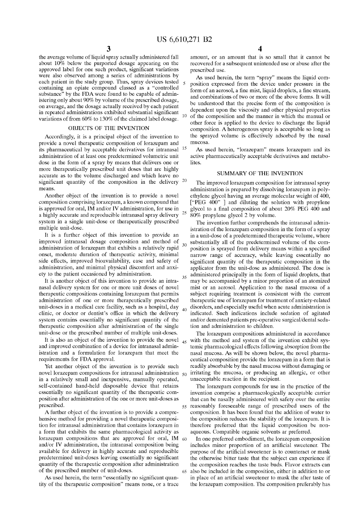30

40

60

65

the average volume of liquid spray actually administered fall about 10% below the purported dosage appearing on the approved label for one such product, significant variations Were also observed among a series of administrations by each patient in the study group. Thus, spray devices tested containing an opiate compound classed as a "controlled substance" by the FDA were found to be capable of administering only about  $90\%$  by volume of the prescribed dosage, on average, and the dosage actually received by each patient in repeated administrations exhibited substantial significant variations of from 60% to 130% of the claimed label dosage.

#### OBJECTS OF THE INVENTION

Accordingly, it is a principal object of the invention to provide a novel therapeutic composition of loraZepam and its pharmaceutical by acceptable derivatives for intranasal 15 administration of at least one predetermined volumetric unit dose in the form of a spray by means that delivers one or more therapeutically prescribed unit doses that are highly accurate as to the volume discharged and Which leave no significant quantity of the composition in the delivery  $20$  means.

Another object of the invention is to provide a novel composition comprising loraZepam, a knoWn compound that is approved for oral, IM and/or IV administration, for use in a highly accurate and reproducible intranasal spray delivery system in a single unit-dose or therapeutically prescribed multiple unit-dose.

It is a further object of this invention to provide an improved intranasal dosage composition and method of administration of lorazepam that exhibits a relatively rapid onset, moderate duration of therapeutic activity, minimal side effects, improved bioavailability, ease and safety of administration, and minimal physical discomfort and anxi ety to the patient occasioned by administration.

It is another object of this invention to provide an intra nasal delivery system for one or more unit doses of novel therapeutic compositions containing lorazepam that permits administration of one or more therapeutically prescribed unit-doses in a medical care facility, such as a hospital, day clinic, or doctor or dentist's office in which the delivery system contains essentially no significant quantity of the therapeutic composition after administration of the single unit-dose or the prescribed number of multiple unit-doses.

It is also an object of the invention to provide the novel  $_{45}$ and improved combination of a device for intranasal admin istration and a formulation for lorazepam that meet the requirements for FDA approval.

Yet another object of the invention is to provide such novel lorazepam compositions for intranasal administration  $\varsigma_0$ in a relatively small and inexpensive, manually operated, self-contained hand-held disposable device that retains essentially no significant quantity of the therapeutic composition after administration of the one or more unit-doses as prescribed.

A further object of the invention is to provide a compre hensive method for providing a novel therapeutic composi tion for intranasal administration that contains loraZepam in a form that exhibits the same pharmacological activity as loraZepam compositions that are approved for oral, IM and/or IV administration, the intranasal composition being available for delivery in highly accurate and reproducible predetermined unit-doses leaving essentially no significant quantity of the therapeutic composition after administration of the prescribed number of unit-doses.

As used herein, the term "essentially no significant quantity of the therapeutic composition" means none, or a trace 4

amount, or an amount that is so small that it cannot be recovered for a subsequent unintended use or abuse after the prescribed use.

10 of the composition and the manner in Which the manual or As used herein, the term "spray" means the liquid com position expressed from the device under pressure in the form of an aerosol, a fine mist, liquid droplets, a fine stream, and combinations of tWo or more of the above forms. It Will be understood that the precise form of the composition is dependent upon the viscosity and other physical properties other force is applied to the device to discharge the liquid composition. A heterogenous spray is acceptable so long as the sprayed volume is effectively adsorbed by the nasal mucosa.

As used herein, "loraZepam" means loraZepam and its active pharmaceutically acceptable derivatives and metabo lites.

# SUMMARY OF THE INVENTION

The improved lorazepam composition for intranasal spray administration is prepared by dissolving lorazepam in polyethylene glycol having an average molecular Weight of 400, ["PEG 400" ] and diluting the solution With propylene glycol to a final composition of about  $20\%$  PEG  $400$  and 80% propylene glycol 2 by volume.

35 The invention further comprehends the intranasal admin istration of the lorazepam composition in the form of a spray in a unit-dose of a predetermined therapeutic volume, Where substantially all of the predetermined volume of the com position is sprayed from delivery means within a specified narroW range of accuracy, While leaving essentially no significant quantity of the therapeutic composition in the applicator from the unit-dose as administered. The dose is administered principally in the form of liquid droplets, that may be accompanied by a minor proportion of an atomized mist or an aerosol. Application to the nasal mucosa of a subject requiring treatment is consistent With the current therapeutic use of loraZepam for treatment of anxiety-related disorders, and especially useful When acute administration is indicated. Such indications include sedation of agitated and/or demented patients pre-operative surgical/dental seda tion and administration to children.

The lorazepam compositions administered in accordance with the method and system of the invention exhibit systemic pharmacological effects folloWing absorption from the nasal mucosa. As will be shown below, the novel pharmaceutical composition provide the lorazepam in a form that is readily absorbable by the nasal mucosa Without damaging or irritating the mucosa, or producing an allergic, or other unacceptable reaction in the recipient.

55 reasonably foreseeable range of prescribed users of the The lorazepam compounds for use in the practice of the invention comprise a pharmacologically acceptable carrier that can be nasally administered With safety over the entire composition. It has been found that the addition of Water to the composition reduces the stability of the lorazepam. It is therefore preferred that the liquid composition be non aqueous. Compatible organic solvents ar preferred.

In one preferred embodiment, the lorazepam composition includes minor proportion of an artificial sweetener. The purpose of the artificial sweetener is to counteract or mask the otherwise bitter taste that the subject can experience if the composition reaches the taste buds. Flavor extracts can also be included in the composition, either in addition to or in place of an artificial sweetener to mask the after taste of the loraZepam composition. The composition preferably has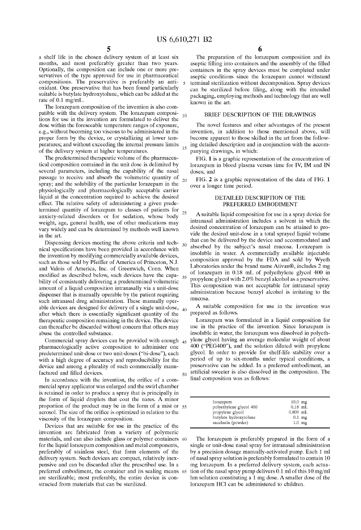15

25

35

 $\frac{5}{4}$  a shelf life in the chosen delivery system of at least six months, and most preferably greater than two years. Optionally, the composition can include one or more pre servatives of the type approved for use in pharmaceutical compositions. The preservative is preferably an anti oxidant. One preservative that has been found particularly suitable is butylate hydroxytolune, Which can be added at the rate of 0.1 mg/mL.

The lorazepam composition of the invention is also compatible with the delivery system. The lorazepam compositions for use in the invention are formulated to deliver the dose Within the foreseeable temperature ranges of exposure, e.g., Without becoming too viscous to be administered in the proper form by the device, or crystallizing at lower temperatures; and Without exceeding the internal pressure limits of the delivery system at higher temperatures.

The predetermined therapeutic volume of the pharmaceu tical composition contained in the unit dose is delimited by several parameters, including the capability of the nasal passage to receive and absorb the volumetric quantity of spray; and the solubility of the particular lorazepam in the physiologically and pharmacologically acceptable carrier liquid at the concentration required to achieve the desired effect. The relative safety of administering a given prede termined quantity of loraZepam to classes of patients for anxiety-related disorders or for sedation, Whose body Weight, age, general health, use of other medications may vary Widely and can be determined by methods Well knoWn in the art.

Dispensing devices meeting the above criteria and tech nical specifications have been provided in accordance with the invention by modifying commercially available devices, such as those sold by Pfeiffer of America of Princeton, N.J. and Valois of America, Inc. of Greenwich, Conn. When modified as described below, such devices have the capability of consistently delivering a predetermined volumetric amount of a liquid composition intranasally via a unit-dose dispenser that is manually operable by the patient requiring such intranasal drug administration. These manually oper able devices are designed for delivery of a single unit-dose, after which there is essentially significant quantity of the therapeutic composition remaining in the device. The device can thereafter be discarded without concern that others may abuse the controlled substance.

Commercial spray devices can be provided With enough 45 pharmacologically active composition to administer one predetermined unit-dose or tWo unit-doses ("bi-dose"), each with a high degree of accuracy and reproducibility for the device and among a plurality of such commercially manu factured and filled devices.

In accordance with the invention, the orifice of a commercial spray applicator Was enlarged and the sWirl chamber is retained in order to produce a spray that is principally in the form of liquid droplets that coat the nares. A minor proportion of the product may be in the form of a mist or 55 aerosol. The size of the orifice is optimized in relation to the viscosity of the lorazepam composition.

Devices that are suitable for use in the practice of the invention are fabricated from a variety of polymeric materials, and can also include glass or polymer containers 60 for the liquid lorazepam composition and metal components, preferably of stainless steel, that form elements of the delivery system. Such devices are compact, relatively inex pensive and can be discarded after the prescribed use. In a preferred embodiment, the container and its sealing means 65 are sterilizable; most preferably, the entire device is constructed from materials that can be sterilized.

The preparation of the lorazepam composition and its aseptic filling into containers and the assembly of the filled containers in the spray devices must be completed under aseptic conditions since the loraZepam cannot Withstand terminal sterilization without decomposition. Spray devices can be sterilized before filing, along with the intended packaging, employing methods and technology that are Well knoWn in the art.

#### BRIEF DESCRIPTION OF THE DRAWINGS

The novel features and other advantages of the present invention, in addition to those mentioned above, Will become apparent to those skilled in the art from the folloW ing detailed description and in conjunction With the accom panying draWings, in Which:

FIG. 1 is a graphic representation of the concentration of lorazepam in blood plasma versus time for IV, IM and IN doses; and

20 FIG. 2 is a graphic representation of the data of FIG. 1 over a longer time period.

#### DETAILED DESCRIPTION OF THE PREFERRED EMBODIMENT

30 A suitable liquid composition for use in a spray device for intranasal administration includes a solvent in Which the desired concentration of lorazepam can be attained to provide the desired unit-dose in a total sprayed liquid volume that can be delivered by the device and accommodated and absorbed by the subject's nasal mucosa. Lorazepam is insoluble in Water. A commercially available injectable composition approved by the FDA and sold by Wyeth Laboratories under the brand name Ativan®, includes 2 mg of loraZepam in 0.18 mL of polyethylene glycol 400 in propylene glycol with 2.0% benzyl alcohol as a preservative. This composition Was not acceptable for intranasal spray administration because benzyl alcohol is irritating to the mucosa.

40 A suitable composition for use in the invention Was prepared as folloWs.

LoraZepam Was formulated in a liquid composition for use in the practice of the invention. Since lorazepam is insoluble in water, the lorazepam was dissolved in polyethylene glycol having an average molecular Weight of about 400 ("PEG400"), and the solution diluted With propylene glycol. In order to provide for shelf-life stability over a period of up to six-months under typical conditions, a preservative can be added. In a preferred embodiment, an artificial sweeter is also dissolved in the composition. The 50 final composition was as follows:

| lorazepam               | $10.0$ mg  |
|-------------------------|------------|
| polyethylene glycol 400 | $0.18$ mL  |
| propylene glycol        | $0.809$ mL |
| butylate hydroxytolune  | $0.1$ mg   |
| saccharin (powder)      | $1.0$ mg   |

The lorazepam is preferably prepared in the form of a single or unit-dose nasal spray for intranasal administration by a precision dosage manually-activated pump. Each 1 ml of nasal spray solution is preferably formulated to contain 10 mg loraZepam. In a preferred delivery system, each actua tion of the nasal spray pump delivers 0.1 ml of this 10 mg/ml hm solution constituting a 1 mg dose. A smaller dose of the loraZepam HCl can be administered to children.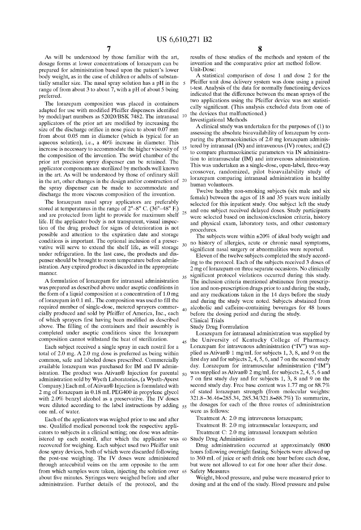25

 $30$ 

40

As Will be understood by those familiar With the art, dosage forms at lower concentrations of lorazepam can be prepared for administration based upon the patient's loWer body Weight, as in the case of children or adults of substan tially smaller size. The nasal spray solution has a pH in the range of from about 3 to about 7, With a pH of about 5 being preferred.

The lorazepam composition was placed in containers adapted for use with modified Pfeiffer dispensers identified by model/part numbers as 52020/BSK 7482. The intranasal applicators of the prior art are modified by increasing the size of the discharge orifice in nose piece to about  $0.07$  mm from about 0.05 mm in diameter (Which is typical for an aqueous solution), i.e., a 40% increase in diameter. This increase is necessary to accommodate the higher viscosity of the composition of the invention. The swirl chamber of the prior art precision spray dispenser can be retained. The applicator components are sterilized by methods well known in the art. As Will be understood by those of ordinary skill in the art, other changes in the design and/or construction of 20 the spray dispenser can be made to accommodate and discharge the more viscous composition of the invention. 10

The lorazepam nasal spray applicators are preferably stored at temperatures in the range of  $2^{\circ}$ –8° C. (36°–48° F.) and are protected from light to provide for maximum shelf life. If the applicator body is not transparent, visual inspec tion of the drug product for signs of deterioration is not possible and attention to the eXpiration date and storage conditions is important. The optional inclusion of a preser vative will serve to extend the shelf life, as will storage under refrigeration. In the last case, the products and dis penser should be brought to room temperature before admin istration. Any expired product is discarded in the appropriate manner.

A formulation of loraZepam for intranasal administration Was prepared as described above under aseptic conditions in the form of a liquid composition at a concentration of 1.0 mg of lorazepam in  $0.1$  mL. The composition was used to fill the required number of single-dose, metered sprayers commer cially produced and sold by Pfeiffer of America, Inc., each of which sprayers first having been modified as described above. The filling of the containers and their assembly is completed under aseptic conditions since the lorazepam composition cannot withstand the heat of sterilization.

Each subject received a single spray in each nostril for a total of 2.0 mg. A 2.0 mg dose is preferred as being Within common, safe and labeled doses prescribed. Commercially available lorazepam was purchased for IM and IV administration. The product was Ativan® Injection for parental  $\varsigma_0$ administration sold by Wyeth Laboratories, (a Wyeth-Ayerst Company.) Each mL of Ativan® Injection is formulated With 2 mg of loraZepam in 0.18 mL PEG400 in propylene glycol with 2.0% benzyl alcohol as a preservative. The IV doses were diluted according to the label instructions by adding  $55$ one mL of Water.

Each of the applicators Was Weighed prior to use and after use. Qualified medical personnel took the respective applicators to subjects in a clinical setting; one dose Was admin istered up each nostril, after Which the applicator Was recovered for weighing. Each subject used two Pfeiffer unit dose spray devices, both of Which Were discarded folloWing the post-use Weighing. The IV doses Were administered through antecubital veins on the arm opposite to the arm from Which samples Were taken, injecting the solution over 65 about five minutes. Syringes were weighed before and after administration. Further details of the protocol, and the

results of these studies of the methods and system of the invention and the comparative prior art method folloW. Unit-Dose:

A statistical comparison of dose 1 and dose 2 for the Pfeiffer unit dose delivery system Was done using a paired t-test. Analysis of the data for normally functioning devices indicated that the difference betWeen the mean sprays of the two applications using the Pfeiffer device was not statistically significant. (This analysis excluded data from one of the devices that malfunctioned.)

Investigational Methods

A clinical study Was undertaken for the purposes of (1) to assessing the absolute bioavailability of lorazepam by comparing the pharmacokinetics of 2.0 mg lorazepam administered by intranasal (IN) and intravenous (IV) routes; and (2) to compare pharmacokinetic parameters via IN administra tion to intramuscular (IM) and intravenous administration. This Was undertaken as a single-dose, open-label, three-Way crossover, randomized, pilot bioavailability study of loraZepam comparing intranasal administration in healthy human volunteers.

Twelve healthy non-smoking subjects (six male and six female) betWeen the ages of 18 and 35 years Were initially selected for this inpatient study. One subject left the study and one subject received delayed doses. Study participants Were selected based on inclusion/exclusion criteria, history and physical exam, laboratory tests, and other customary procedures.

The subjects were within  $\pm 20\%$  of ideal body weight and no history of allergies, acute or chronic nasal symptoms, significant nasal surgery or abnormalities were reported.

35 Eleven of the tWelve subjects completed the study accord ing to the protocol. Each of the subjects received 3 doses of 2 mg of lorazepam on three separate occasions. No clinically significant protocol violations occurred during this study. The inclusion criteria mentioned abstinence from prescrip tion and non-prescription drugs prior to and during the study, and any medications taken in the 14 days before the study and during the study Were noted. Subjects abstained from alcoholic and caffeine-containing beverages for 48 hours before the dosing period and during the study.

Clinical Trials

Study Drug Formulation

45 Lorazepam for intranasal administration was supplied by the University of Kentucky College of Pharmacy. Lorazepam for intravenous administration ("IV") was supplied as Ativan® 1 mg/mL for subjects 1, 3, 8, and 9 on the first day and for subjects  $2, 4, 5, 6$ , and  $7$  on the second study day. Lorazepam for intramuscular administration ("IM") was supplied as Ativan<sup>®</sup> 2 mg/mL for subjects 2, 4, 5, 6 and 7 on first study day and for subjects 1,  $3$ , 8 and 9 on the second study day. Free base content Was 1.77 mg or 88.7% of stated lorazepam strength (from molecular weights: 321.8—36.46=285.34, 285.34/321.8=88.7%) To summarize, the dosages for each of the three routes of administration Were as folloWs:

Treatment A: 2.0 mg intravenous lorazepam;

Treatment B: 2.0 mg intramuscular lorazepam; and

60 Study Drug Administration Treatment C: 2.0 mg intranasal lorazepam solution

Drug administration occurred at approximately 0800 hours following overnight fasting. Subjects were allowed up to 360 mL of juice or soft drink one hour before each dose, but Were not alloWed to eat for one hour after their dose. Safety Measures

Weight, blood pressure, and pulse Were measured prior to dosing and at the end of the study. Blood pressure and pulse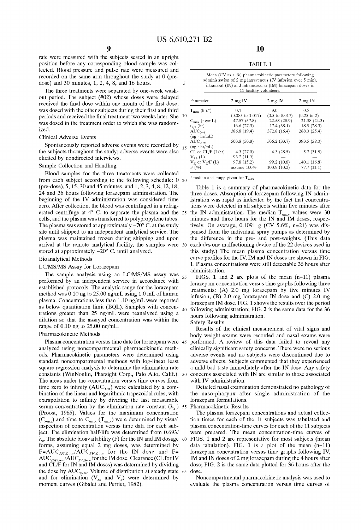rate Were measured With the subjects seated in an upright position before any corresponding blood sample Was col lected. Blood pressure and pulse rate Were measured and recorded on the same arm throughout the study at 0 (pre dose) and 30 minutes, 1, 2, 4, 8, and 16 hours.

The three treatments were separated by one-week washout period. The subject (#02) Whose doses Were delayed received the final dose within one month of the first dose, was dosed with the other subjects during their first and third periods and received the final treatment two weeks later. She  $10<sup>10</sup>$ Was dosed in the treatment order to Which she Was random iZed.

#### Clinical Adverse Events

Spontaneously reported adverse events Were recorded by the subjects throughout the study; adverse events Were also elicited by nondirected intervieWs.

#### Sample Collection and Handling

Blood samples for the three treatments Were collected from each subject according to the folloWing schedule: 0 20 (pre-dose), 5, 15, 30 and 45 minutes, and 1, 2, 3, 4, 8, 12, 18, 24 and 36 hours folloWing loraZepam administration. The beginning of the IV administration Was considered time zero. After collection, the blood was centrifuged in a refrigerated centrifuge at 4° C. to separate the plasma and the cells, and the plasma Was transferred to polypropylene tubes. The plasma was stored at approximately  $-70^{\circ}$  C. at the study site until shipped to an independent analytical service. The plasma was maintained frozen during shipping and upon arrival at the remote analytical facility, the samples Were 30 stored at approximately  $-20^{\circ}$  C. until analyzed. 25

#### Bioanalytical Methods

#### LC/MS/MS Assay for Lorazepam

The sample analysis using an LC/MS/MS assay Was performed by an independent service in accordance With established protocols. The analytic range for the lorazepam method Was 0.10 ng to 25.00 ng/mL using 1.0 mL of human plasma. Concentrations less than 1.10 ng/mL Were reported as below quantitation limit (BQL). Samples with concentrations greater than 25 ng/mL were reanalyzed using a dilution so that the assayed concentration Was Within the range of 0.10 ng to 25.00 ng/mL.

#### Pharmacokinetic Methods

Plasma concentration versus time date for loraZepam Were 45 analyzed using noncompartmental pharmacokinetic methods. Pharmacokinetic parameters Were determined using standard noncompartmental methods With log-linear least square regression analysis to determine the elimination rate constants (WinNonlin, Pharsight Corp., Palo Alto, Calif.). 50 The areas under the concentration versus time curves from time zero to infinity ( $AUC_{0-\infty}$ ) were calculated by a combination of the linear and logarithmic trapezoidal rules, with extrapolation to infinity by dividing the last measurable serum concentration by the elimination rate constant  $(\lambda_z)$  55 Pharmacokinetic Results (Proost, 1985). Values for the maximum concentration  $(C_{max})$  and time to  $C_{max}$  (T<sub>max</sub>) were determined by visual inspection of concentration versus time data for each sub ject. The elimination half-life was determined from  $0.693/$  $\lambda_z$ . The absolute bioavailability (F) for the IN and IM dosage 60 forms, assuming equal 2 mg doses, Was determined by  $F=AUC<sub>IN,0-\infty</sub>/AUC<sub>IV,0-\infty</sub>$  for the IN dose and F=  $AUC_{IM,0-\infty}/AUC_{IV,0-\infty}$  for the IM dose. Clearance (CL for IV and CL/F for IN and IM doses) Was determined by dividing the dose by  $\text{AUC}_{0-\infty}$ . Volume of distribution at steady state 65 dose. and for elimination ( $V_{ss}$  and  $V_{z}$ ) were determined by moment curves (Gibaldi and Perrier, 1982).

TABLE 1

| Mean (CV as a %) pharmacokinetic parameters following        |  |  |  |  |
|--------------------------------------------------------------|--|--|--|--|
| administration of 2 mg intravenous (IV infusion over 5 min), |  |  |  |  |
| intranasal (IN) and intramuscular (IM) lorazepam doses in    |  |  |  |  |
| 11 healthy volunteers.                                       |  |  |  |  |

|    | Parameter                              | $2$ mg IV                          | $2 \text{ mg}$ IM                | $2 \text{ mg IN}$             |
|----|----------------------------------------|------------------------------------|----------------------------------|-------------------------------|
| 10 | $T_{\rm max}$ (hrs <sup>*</sup> )      | 0.1<br>$(0.083 \text{ to } 1.017)$ | 3.0<br>$(0.5 \text{ to } 8.017)$ | 0.5<br>$(0.25 \text{ to } 2)$ |
|    | $C_{\text{max}}$ (ng/mL)               | 47.57 (57.8)                       | 22.58 (28.9)                     | 21.38 (24.3)                  |
|    | $t_{1/2}$ (hr)<br>$AUC_{0-4}$          | 16.6(27.3)<br>386.8 (19.4)         | 17.4(38.1)<br>372.8 (16.4)       | 18.5(28.3)<br>288.0 (25.4)    |
|    | $(ng \cdot hr/mL)$                     |                                    |                                  |                               |
|    | $AUC_{0-\infty}$<br>$(ng \cdot hr/mL)$ | 500.8 (30.8)                       | 506.2 (33.7)                     | 393.5 (38.0)                  |
| 15 | $CL$ or $CL/F (L/hr)$                  | 4.3(27.0)                          | 4.3(28.5)                        | 5.7(31.8)                     |
|    | $V_{ss}$ (L)                           | 93.2 (11.9)                        |                                  |                               |
|    | $Vz$ or $Vz/F(L)$<br>$F(\%)$           | 97.8 (15.2)<br>assume 100%         | 99.2 (10.8)<br>100.9 (10.2)      | 140.1 (16.8)<br>77.7(11.1)    |

\*median and range given for  $T_{\text{max}}$ 

Table 1 is a summary of pharmacokinetic data for the three doses. Absorption of lorazepam following IN administration Was rapid as indicated by the fact that concentra tions were detected in all subjects within five minutes after the IN administration. The median  $T_{max}$  values were 30 minutes and three hours for the IN and IM doses, respec tively. On average, 0.1091 g (CV 5.6%, n=21) Was dis pensed from the individual spray pumps as determined by the difference in the pre- and post-Weights. (This data excludes one malfuctioning device of the 22 devices used in this study.) The mean plasma concentration versus time curve profiles for the IV, IM and IN doses are shown in FIG. 1. Plasma concentrations Were still detectable 36 hours after administration.

40 FIGS. 1 and 2 are plots of the mean (n=11) plasma lorazepam concentration versus time graphs following three treatments:  $(A)$  2.0 mg lorazepam by five minutes IV infusion,  $(B)$  2.0 mg lorazepam IN dose and  $(C)$  2.0 mg lorazepam IM dose. FIG. 1 shows the results over the period following administration; FIG. 2 is the same data for the 36 hours folloWing administration.

Safety Results

35

Results of the clinical measurement of vital signs and body Weight exams Were recorded and nasal exams Were performed. A revieW of this data failed to reveal any clinically significant safety concerns. There were no serious adverse events and no subjects Were discontinued due to adverse effects. Subjects commented that they experienced a mild bad taste immediately after the IN dose. Any safety concerns associated With IN are similar to those associated with IV administration.

Detailed nasal examination demonstrated no pathology of the naso-pharynx after single administration of the lorazepam formulations.

The plasma lorazepam concentrations and actual collection times for each of the 11 subjects Was tabulated and plasma concentration-time curves for each of the 11 subjects Were prepared. The mean concentration-time curves of FIGS. 1 and 2 are representative for most subjects (mean data tabulation). FIG. 1 is a plot of the mean  $(n=11)$ lorazepam concentration versus time graphs following IV, IM and IN doses of 2 mg loraZepam during the 4 hours after dose; FIG. 2 is the same data plotted for 36 hours after the

Noncompartmental pharmacokinetic analysis Was used to evaluate the plasma concentration versus time curves of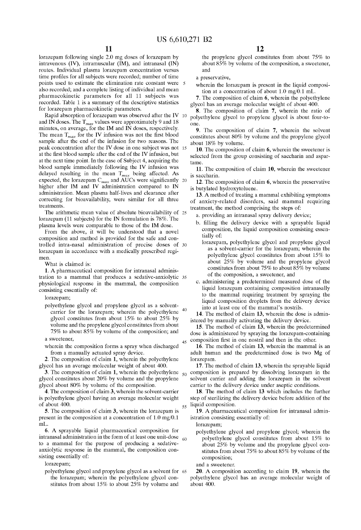lorazepam following single 2.0 mg doses of lorazepam by intravenous (IV), intramuscular (IM), and intranasal (IN) routes. Individual plasma lorazepam concentration versus time profiles for all subjects were recorded; number of time points used to estimate the elimination rate constant Were also recorded; and a complete listing of individual and mean pharmacokinetic parameters for all 11 subjects Was recorded. Table 1 is a summary of the descriptive statistics for lorazepam pharmacokinetic parameters.

Rapid absorption of lorazepam was observed after the IV 10 and IN doses. The  $T_{max}$  values were approximately 9 and 18 minutes, on average, for the IM and IN doses, respectively. The mean  $T_{max}$  for the IV infusion was not the first blood sample after the end of the infusion for two reasons. The peak concentration after the IV dose in one subject Was not 15 at the first blood sample after the end of the IV infusion, but at the next time point. In the case of Subject 4, acquiring the blood sample immediately following the IV infusion was delayed resulting in the mean  $T_{max}$  being affected. As expected, the lorazepam  $C_{max}$  and AUCs were significantly expected, the lorazepam  $C_{max}$  and AUCs were significantly 20 higher after IM and IV administration compared to IN administration. Mean plasma half-lives and clearance after correcting for bioavailability, Were similar for all three treatments.

The arithmetic mean value of absolute bioavailability of 25 loraZepam (11 subjects) for the IN formulation is 78%. The plasma levels Were comparable to those of the IM dose.

From the above, it will be understood that a novel composition and method is provided for the safe and con trolled intra-nasal administration of precise doses of 30 lorazepam in accordance with a medically prescribed regimen.

What is claimed is:

1. A pharmaceutical composition for intranasal adminis tration to a mammal that produces a sedative-anxiolytic 35 physiological response in the mammal, the composition consisting essentially of:

lorazepam;

polyethylene glycol and propylene glycol as a solvent carrier for the lorazepam; wherein the polyethylene glycol constitutes from about 15% to about 25% by volume and the propylene glycol constitutes from about 75% to about 85% by volume of the composition; and 40

a sWeetener,

Wherein the composition forms a spray When discharged from a manually actuated spray device.

2. The composition of claim 1, Wherein the polyethylene glycol has an average molecular Weight of about 400.

3. The composition of claim 1, wherein the polyethylene  $\zeta_0$ glycol constitutes about 20% by volume and the propylene glycol about 80% by volume of the composition.

4. The composition of claim 3, Wherein the solvent-carrier is polyethylene glycol having an average molecular weight of about 400.

5. The composition of claim 3, wherein the lorazepam is present in the composition at a concentration of 1.0 mg/0.1 mL.

6. A sprayable liquid pharmaceutical composition for intranasal administration in the form of at least one unit-dose to a mammal for the purpose of producing a sedative anxiolytic response in the mammal, the composition con sisting essentially of:

lorazepam:

polyethylene glycol and propylene glycol as a solvent for 65 the lorazepam; wherein the polyethylene glycol constitutes from about 15% to about 25% by volume and

12

the propylene glycol constitutes from about 75% to about 85% by volume of the composition, a sweetener, and

a preservative,

wherein the lorazepam is present in the liquid composition at a concentration of about 1.0 mg/0.1 mL.

7. The composition of claim 6, Wherein the polyethylene glycol has an average molecular Weight of about 400.

8. The composition of claim 7, Wherein the ratio of polyethylene glycol to propylene glycol is about four-to one.

9. The composition of claim 7, Wherein the solvent constitutes about 80% by volume and the propylene glycol about 18% by volume.

10. The composition of claim 6, wherein the sweetener is selected from the group consisting of saccharin and aspar tame.

11. The composition of claim 10, wherein the sweetener is saccharin.

12. The composition of claim 6, Wherein the preservative is butylated hydroxytoluene.

13. A method of treating a mammal exhibiting symptoms of anxiety-related disorders, said mammal requiring treatment, the method comprising the steps of:

a. providing an intranasal spray delivery device;

- b. filling the delivery device with a sprayable liquid composition, the liquid composition consisting essen tially of:
- loraZepam, polyethylene glycol and propylene glycol as a solvent-carrier for the loraZepam; Wherein the polyethylene glycol constitutes from about 15% to about 25% by volume and the propylene glycol constitutes from about 75% to about 85% by volume of the composition, a sWeetener, and
- c. administering a predetermined measured dose of the liquid lorazepam containing composition intranasally to the mammal requiring treatment by spraying the liquid composition droplets from the delivery device into at least one of the mammal's nostrils.

14. The method of claim 13, Wherein the dose is admin istered by manually activating the delivery device.

15. The method of claim 13, Wherein the predetermined dose is administered by spraying the loraZepam-containing composition first in one nostril and then in the other.

16. The method of claim 13, Wherein the mammal is an adult human and the predetermined dose is two Mg of lorazepam.

17. The method of claim 13, Wherein the sprayable liquid composition is prepared by dissolving lorazepam in the solvent carrier and adding the lorazepam in the solvent carrier to the delivery device under aseptic conditions.

18. The method of claim 13 Which includes the further step of sterilizing the delivery device before addition of the liquid composition.

19. A pharmaceutical composition for intranasal admin istration consisting essentially of:

lorazepam;

45

55

60

polyethylene glycol and propylene glycol; Wherein the polyethylene glycol constitutes from about 15% to about 25% by volume and the propylene glycol con stitutes from about 75% to about 85% by volume of the composition;

and a sWeetener.

20. A composition according to claim 19, Wherein the polyethylene glycol has an average molecular Weight of about 400.